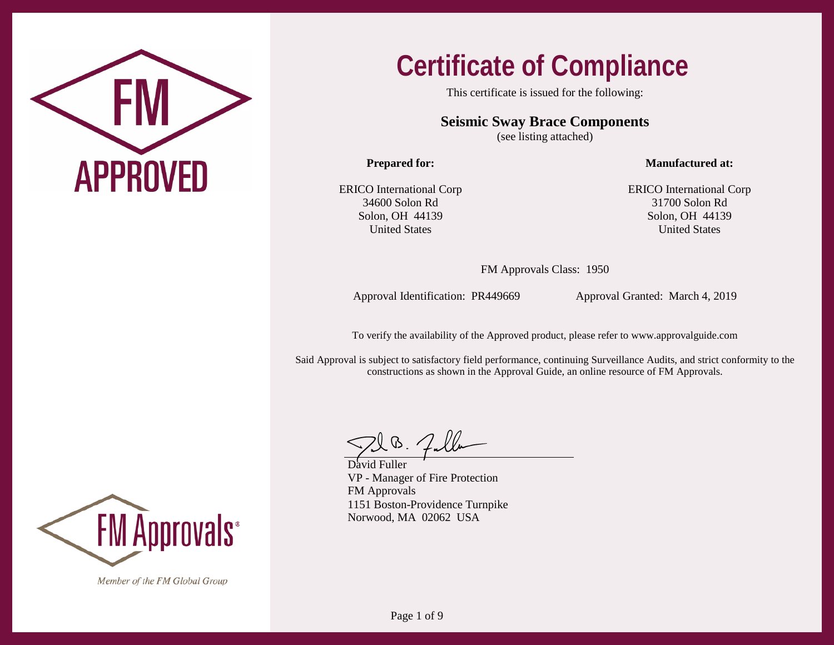

This certificate is issued for the following:

**Seismic Sway Brace Components**

(see listing attached)

**Prepared for:**

**Manufactured at:**

ERICO International Corp 34600 Solon Rd Solon, OH 44139 United States

ERICO International Corp 31700 Solon Rd Solon, OH 44139 United States

FM Approvals Class: 1950

Approval Identification: PR449669 Approval Granted: March 4, 2019

To verify the availability of the Approved product, please refer to www.approvalguide.com

Said Approval is subject to satisfactory field performance, continuing Surveillance Audits, and strict conformity to the constructions as shown in the Approval Guide, an online resource of FM Approvals.

David Fuller VP - Manager of Fire Protection FM Approvals 1151 Boston-Providence Turnpike Norwood, MA 02062 USA

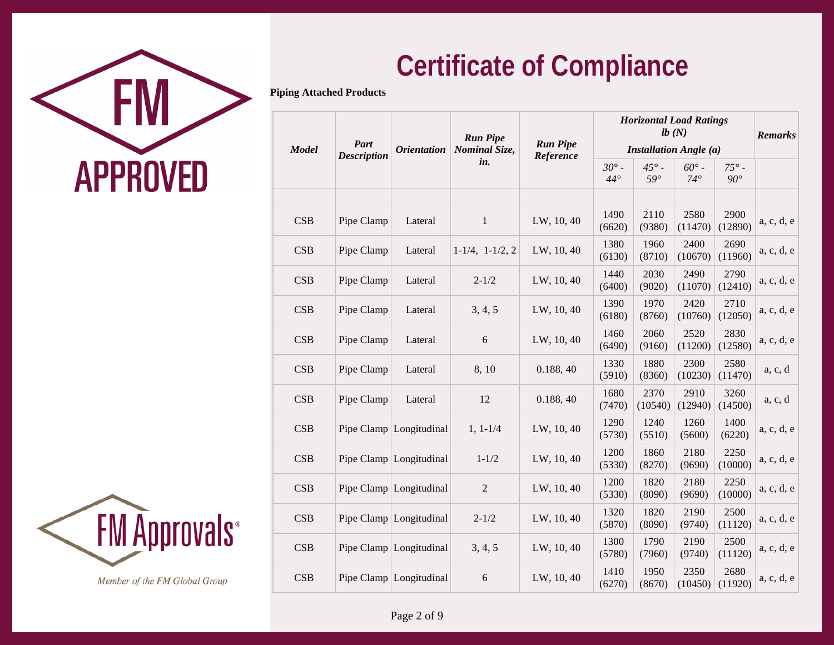

**Piping Attached Products**

| <b>Model</b> | <b>Part</b>        | <i><b>Orientation</b></i> | <b>Run Pipe</b><br>Nominal Size, | <b>Run Pipe</b> | <b>Horizontal Load Ratings</b> |                            | <b>Remarks</b>                                                |                              |            |
|--------------|--------------------|---------------------------|----------------------------------|-----------------|--------------------------------|----------------------------|---------------------------------------------------------------|------------------------------|------------|
|              | <b>Description</b> |                           | in.                              | Reference       | $30^{\circ}$ -<br>$44^\circ$   | $45^\circ$ -<br>$59^\circ$ | <b>Installation Angle (a)</b><br>$60^{\circ}$ -<br>$74^\circ$ | $75^\circ$ -<br>$90^{\circ}$ |            |
|              |                    |                           |                                  |                 |                                |                            |                                                               |                              |            |
| CSB          | Pipe Clamp         | Lateral                   | $\mathbf{1}$                     | LW, 10, 40      | 1490<br>(6620)                 | 2110<br>(9380)             | 2580<br>(11470)                                               | 2900<br>(12890)              | a, c, d, e |
| CSB          | Pipe Clamp         | Lateral                   | $1-1/4$ , $1-1/2$ , 2            | LW, 10, 40      | 1380<br>(6130)                 | 1960<br>(8710)             | 2400<br>(10670)                                               | 2690<br>(11960)              | a, c, d, e |
| CSB          | Pipe Clamp         | Lateral                   | $2 - 1/2$                        | LW, 10, 40      | 1440<br>(6400)                 | 2030<br>(9020)             | 2490<br>(11070)                                               | 2790<br>(12410)              | a, c, d, e |
| <b>CSB</b>   | Pipe Clamp         | Lateral                   | 3, 4, 5                          | LW, 10, 40      | 1390<br>(6180)                 | 1970<br>(8760)             | 2420<br>(10760)                                               | 2710<br>(12050)              | a, c, d, e |
| CSB          | Pipe Clamp         | Lateral                   | 6                                | LW, 10, 40      | 1460<br>(6490)                 | 2060<br>(9160)             | 2520<br>(11200)                                               | 2830<br>(12580)              | a, c, d, e |
| <b>CSB</b>   | Pipe Clamp         | Lateral                   | 8,10                             | 0.188, 40       | 1330<br>(5910)                 | 1880<br>(8360)             | 2300<br>(10230)                                               | 2580<br>(11470)              | a, c, d    |
| <b>CSB</b>   | Pipe Clamp         | Lateral                   | 12                               | 0.188, 40       | 1680<br>(7470)                 | 2370<br>(10540)            | 2910<br>(12940)                                               | 3260<br>(14500)              | a, c, d    |
| <b>CSB</b>   |                    | Pipe Clamp Longitudinal   | $1, 1 - 1/4$                     | LW, 10, 40      | 1290<br>(5730)                 | 1240<br>(5510)             | 1260<br>(5600)                                                | 1400<br>(6220)               | a, c, d, e |
| CSB          |                    | Pipe Clamp Longitudinal   | $1 - 1/2$                        | LW, 10, 40      | 1200<br>(5330)                 | 1860<br>(8270)             | 2180<br>(9690)                                                | 2250<br>(10000)              | a, c, d, e |
| CSB          |                    | Pipe Clamp Longitudinal   | $\overline{2}$                   | LW, 10, 40      | 1200<br>(5330)                 | 1820<br>(8090)             | 2180<br>(9690)                                                | 2250<br>(10000)              | a, c, d, e |
| <b>CSB</b>   |                    | Pipe Clamp Longitudinal   | $2 - 1/2$                        | LW, 10, 40      | 1320<br>(5870)                 | 1820<br>(8090)             | 2190<br>(9740)                                                | 2500<br>(11120)              | a, c, d, e |
| <b>CSB</b>   |                    | Pipe Clamp Longitudinal   | 3, 4, 5                          | LW, 10, 40      | 1300<br>(5780)                 | 1790<br>(7960)             | 2190<br>(9740)                                                | 2500<br>(11120)              | a, c, d, e |
| <b>CSB</b>   |                    | Pipe Clamp Longitudinal   | 6                                | LW, 10, 40      | 1410<br>(6270)                 | 1950<br>(8670)             | 2350<br>(10450)                                               | 2680<br>(11920)              | a, c, d, e |
|              |                    |                           |                                  |                 |                                |                            |                                                               |                              |            |

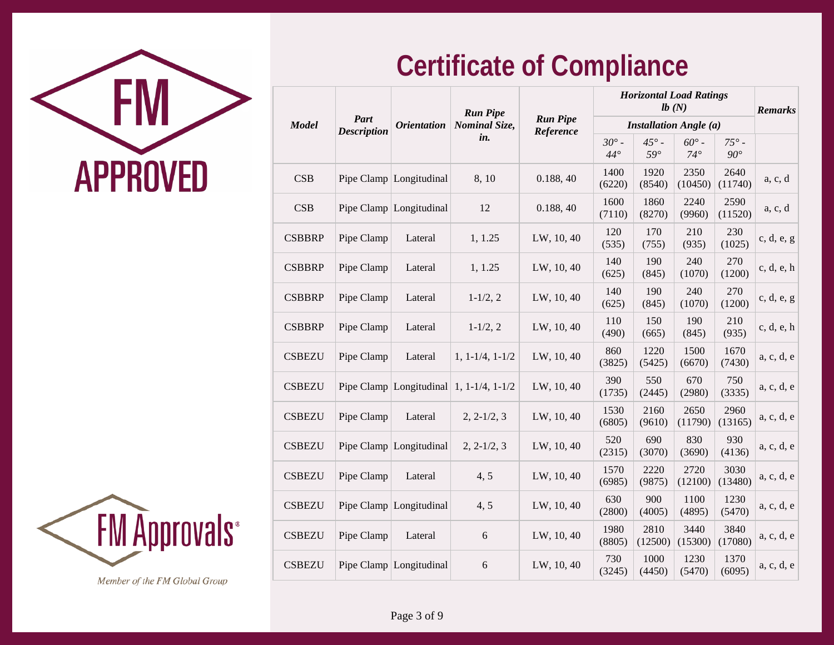

|               |                            | <b>Orientation</b>      | <b>Run Pipe</b>       |                              | <b>Horizontal Load Ratings</b> |                               | <b>Remarks</b>               |                              |            |
|---------------|----------------------------|-------------------------|-----------------------|------------------------------|--------------------------------|-------------------------------|------------------------------|------------------------------|------------|
| <b>Model</b>  | Part<br><b>Description</b> |                         | <b>Nominal Size,</b>  | <b>Run Pipe</b><br>Reference |                                | <b>Installation Angle (a)</b> |                              |                              |            |
|               |                            |                         | in.                   |                              | $30^\circ$ -<br>$44^{\circ}$   | $45^\circ$ -<br>$59^\circ$    | $60^\circ$ -<br>$74^{\circ}$ | $75^\circ$ -<br>$90^{\circ}$ |            |
| <b>CSB</b>    |                            | Pipe Clamp Longitudinal | 8,10                  | 0.188, 40                    | 1400<br>(6220)                 | 1920<br>(8540)                | 2350<br>(10450)              | 2640<br>(11740)              | a, c, d    |
| CSB           |                            | Pipe Clamp Longitudinal | 12                    | 0.188, 40                    | 1600<br>(7110)                 | 1860<br>(8270)                | 2240<br>(9960)               | 2590<br>(11520)              | a, c, d    |
| <b>CSBBRP</b> | Pipe Clamp                 | Lateral                 | 1, 1.25               | LW, 10, 40                   | 120<br>(535)                   | 170<br>(755)                  | 210<br>(935)                 | 230<br>(1025)                | c, d, e, g |
| <b>CSBBRP</b> | Pipe Clamp                 | Lateral                 | 1, 1.25               | LW, 10, 40                   | 140<br>(625)                   | 190<br>(845)                  | 240<br>(1070)                | 270<br>(1200)                | c, d, e, h |
| <b>CSBBRP</b> | Pipe Clamp                 | Lateral                 | $1 - 1/2, 2$          | LW, 10, 40                   | 140<br>(625)                   | 190<br>(845)                  | 240<br>(1070)                | 270<br>(1200)                | c, d, e, g |
| <b>CSBBRP</b> | Pipe Clamp                 | Lateral                 | $1 - 1/2, 2$          | LW, 10, 40                   | 110<br>(490)                   | 150<br>(665)                  | 190<br>(845)                 | 210<br>(935)                 | c, d, e, h |
| <b>CSBEZU</b> | Pipe Clamp                 | Lateral                 | $1, 1 - 1/4, 1 - 1/2$ | LW, 10, 40                   | 860<br>(3825)                  | 1220<br>(5425)                | 1500<br>(6670)               | 1670<br>(7430)               | a, c, d, e |
| <b>CSBEZU</b> |                            | Pipe Clamp Longitudinal | $1, 1-1/4, 1-1/2$     | LW, 10, 40                   | 390<br>(1735)                  | 550<br>(2445)                 | 670<br>(2980)                | 750<br>(3335)                | a, c, d, e |
| <b>CSBEZU</b> | Pipe Clamp                 | Lateral                 | $2, 2-1/2, 3$         | LW, 10, 40                   | 1530<br>(6805)                 | 2160<br>(9610)                | 2650<br>(11790)              | 2960<br>(13165)              | a, c, d, e |
| <b>CSBEZU</b> |                            | Pipe Clamp Longitudinal | $2, 2-1/2, 3$         | LW, 10, 40                   | 520<br>(2315)                  | 690<br>(3070)                 | 830<br>(3690)                | 930<br>(4136)                | a, c, d, e |
| <b>CSBEZU</b> | Pipe Clamp                 | Lateral                 | 4, 5                  | LW, 10, 40                   | 1570<br>(6985)                 | 2220<br>(9875)                | 2720<br>(12100)              | 3030<br>(13480)              | a, c, d, e |
| <b>CSBEZU</b> |                            | Pipe Clamp Longitudinal | 4, 5                  | LW, 10, 40                   | 630<br>(2800)                  | 900<br>(4005)                 | 1100<br>(4895)               | 1230<br>(5470)               | a, c, d, e |
| <b>CSBEZU</b> | Pipe Clamp                 | Lateral                 | 6                     | LW, 10, 40                   | 1980<br>(8805)                 | 2810<br>(12500)               | 3440<br>(15300)              | 3840<br>(17080)              | a, c, d, e |
| <b>CSBEZU</b> |                            | Pipe Clamp Longitudinal | 6                     | LW, 10, 40                   | 730<br>(3245)                  | 1000<br>(4450)                | 1230<br>(5470)               | 1370<br>(6095)               | a, c, d, e |
|               |                            |                         |                       |                              |                                |                               |                              |                              |            |

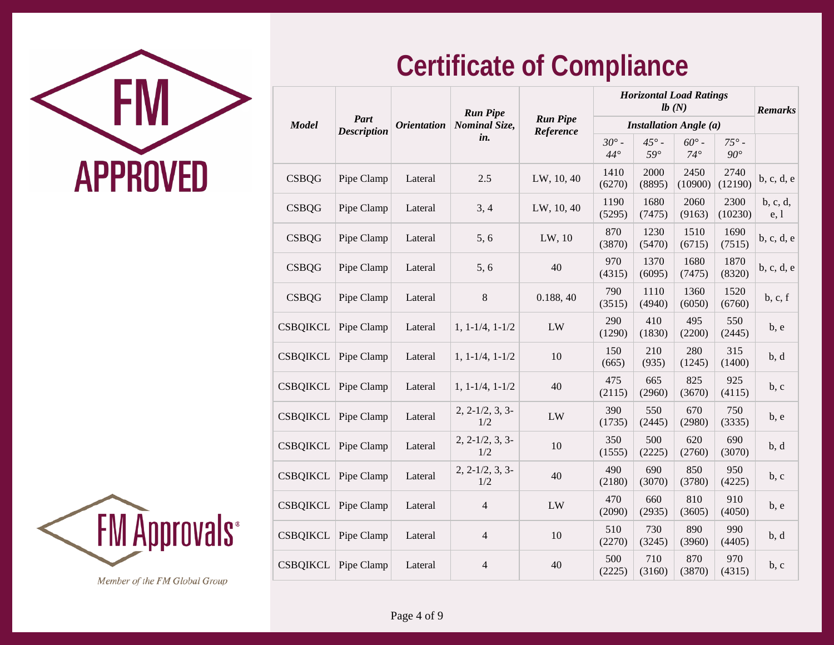

|            | <b>Orientation</b>         |                          |                        |                              |                            | <b>Remarks</b>             |                              |                                                                 |
|------------|----------------------------|--------------------------|------------------------|------------------------------|----------------------------|----------------------------|------------------------------|-----------------------------------------------------------------|
|            |                            | <b>Nominal Size,</b>     |                        |                              |                            |                            |                              |                                                                 |
|            |                            |                          |                        | $30^\circ$ -<br>$44^{\circ}$ | $45^\circ$ -<br>$59^\circ$ | $60^\circ$ -<br>$74^\circ$ | $75^\circ$ -<br>$90^{\circ}$ |                                                                 |
| Pipe Clamp | Lateral                    | 2.5                      | LW, 10, 40             | 1410<br>(6270)               | 2000<br>(8895)             | 2450<br>(10900)            | 2740<br>(12190)              | b, c, d, e                                                      |
| Pipe Clamp | Lateral                    | 3, 4                     | LW, 10, 40             | 1190<br>(5295)               | 1680<br>(7475)             | 2060<br>(9163)             | 2300<br>(10230)              | b, c, d,<br>e, 1                                                |
| Pipe Clamp | Lateral                    | 5, 6                     | LW, 10                 | 870<br>(3870)                | 1230<br>(5470)             | 1510<br>(6715)             | 1690<br>(7515)               | b, c, d, e                                                      |
| Pipe Clamp | Lateral                    | 5, 6                     | 40                     | 970<br>(4315)                | 1370<br>(6095)             | 1680<br>(7475)             | 1870<br>(8320)               | b, c, d, e                                                      |
| Pipe Clamp | Lateral                    | $\,8\,$                  | 0.188, 40              | 790<br>(3515)                | 1110<br>(4940)             | 1360<br>(6050)             | 1520<br>(6760)               | b, c, f                                                         |
| Pipe Clamp | Lateral                    | $1, 1 - 1/4, 1 - 1/2$    | LW                     | 290<br>(1290)                | 410<br>(1830)              | 495<br>(2200)              | 550<br>(2445)                | b, e                                                            |
| Pipe Clamp | Lateral                    | $1, 1 - 1/4, 1 - 1/2$    | 10                     | 150<br>(665)                 | 210<br>(935)               | 280<br>(1245)              | 315<br>(1400)                | b, d                                                            |
| Pipe Clamp | Lateral                    | $1, 1 - 1/4, 1 - 1/2$    | 40                     | 475<br>(2115)                | 665<br>(2960)              | 825<br>(3670)              | 925<br>(4115)                | b, c                                                            |
| Pipe Clamp | Lateral                    | $2, 2-1/2, 3, 3-$<br>1/2 | LW                     | 390<br>(1735)                | 550<br>(2445)              | 670<br>(2980)              | 750<br>(3335)                | b, e                                                            |
| Pipe Clamp | Lateral                    | $2, 2-1/2, 3, 3-$<br>1/2 | 10                     | 350<br>(1555)                | 500<br>(2225)              | 620<br>(2760)              | 690<br>(3070)                | b, d                                                            |
| Pipe Clamp | Lateral                    | $2, 2-1/2, 3, 3-$<br>1/2 | 40                     | 490<br>(2180)                | 690<br>(3070)              | 850<br>(3780)              | 950<br>(4225)                | b, c                                                            |
| Pipe Clamp | Lateral                    | $\overline{4}$           | LW                     | 470<br>(2090)                | 660<br>(2935)              | 810<br>(3605)              | 910<br>(4050)                | b, e                                                            |
| Pipe Clamp | Lateral                    | $\overline{4}$           | 10                     | 510<br>(2270)                | 730<br>(3245)              | 890<br>(3960)              | 990<br>(4405)                | b, d                                                            |
| Pipe Clamp | Lateral                    | $\overline{4}$           | 40                     | 500<br>(2225)                | 710<br>(3160)              | 870<br>(3870)              | 970<br>(4315)                | b, c                                                            |
|            | Part<br><b>Description</b> |                          | <b>Run Pipe</b><br>in. | <b>Run Pipe</b><br>Reference |                            |                            | lb(N)                        | <b>Horizontal Load Ratings</b><br><b>Installation Angle (a)</b> |

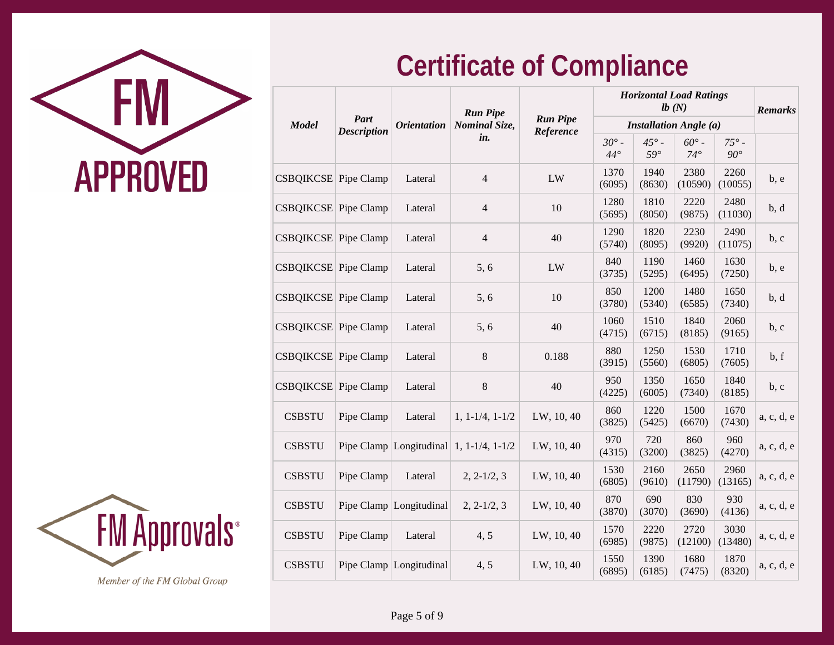

| Part                        |                    |                         | <b>Run Pipe</b>                             |                              | <b>Horizontal Load Ratings</b> |                            | <b>Remarks</b>             |                              |            |
|-----------------------------|--------------------|-------------------------|---------------------------------------------|------------------------------|--------------------------------|----------------------------|----------------------------|------------------------------|------------|
| <b>Model</b>                | <b>Description</b> | <b>Orientation</b>      | <b>Nominal Size,</b>                        | <b>Run Pipe</b><br>Reference | <b>Installation Angle (a)</b>  |                            |                            |                              |            |
|                             |                    |                         | in.                                         |                              | $30^\circ$ -<br>$44^\circ$     | $45^\circ$ -<br>$59^\circ$ | $60^\circ$ -<br>$74^\circ$ | $75^\circ$ -<br>$90^{\circ}$ |            |
| CSBQIKCSE Pipe Clamp        |                    | Lateral                 | $\overline{4}$                              | LW                           | 1370<br>(6095)                 | 1940<br>(8630)             | 2380<br>(10590)            | 2260<br>(10055)              | b, e       |
| <b>CSBQIKCSE</b> Pipe Clamp |                    | Lateral                 | $\overline{4}$                              | 10                           | 1280<br>(5695)                 | 1810<br>(8050)             | 2220<br>(9875)             | 2480<br>(11030)              | b, d       |
| CSBQIKCSE Pipe Clamp        |                    | Lateral                 | $\overline{4}$                              | 40                           | 1290<br>(5740)                 | 1820<br>(8095)             | 2230<br>(9920)             | 2490<br>(11075)              | b, c       |
| CSBQIKCSE Pipe Clamp        |                    | Lateral                 | 5, 6                                        | LW                           | 840<br>(3735)                  | 1190<br>(5295)             | 1460<br>(6495)             | 1630<br>(7250)               | b, e       |
| <b>CSBQIKCSE</b> Pipe Clamp |                    | Lateral                 | 5, 6                                        | 10                           | 850<br>(3780)                  | 1200<br>(5340)             | 1480<br>(6585)             | 1650<br>(7340)               | b, d       |
| CSBQIKCSE Pipe Clamp        |                    | Lateral                 | 5, 6                                        | 40                           | 1060<br>(4715)                 | 1510<br>(6715)             | 1840<br>(8185)             | 2060<br>(9165)               | b, c       |
| CSBQIKCSE Pipe Clamp        |                    | Lateral                 | $\,8\,$                                     | 0.188                        | 880<br>(3915)                  | 1250<br>(5560)             | 1530<br>(6805)             | 1710<br>(7605)               | b, f       |
| CSBQIKCSE Pipe Clamp        |                    | Lateral                 | $\,8\,$                                     | 40                           | 950<br>(4225)                  | 1350<br>(6005)             | 1650<br>(7340)             | 1840<br>(8185)               | b, c       |
| <b>CSBSTU</b>               | Pipe Clamp         | Lateral                 | $1, 1-1/4, 1-1/2$                           | LW, 10, 40                   | 860<br>(3825)                  | 1220<br>(5425)             | 1500<br>(6670)             | 1670<br>(7430)               | a, c, d, e |
| <b>CSBSTU</b>               |                    |                         | Pipe Clamp   Longitudinal   1, 1-1/4, 1-1/2 | LW, 10, 40                   | 970<br>(4315)                  | 720<br>(3200)              | 860<br>(3825)              | 960<br>(4270)                | a, c, d, e |
| <b>CSBSTU</b>               | Pipe Clamp         | Lateral                 | $2, 2-1/2, 3$                               | LW, 10, 40                   | 1530<br>(6805)                 | 2160<br>(9610)             | 2650<br>(11790)            | 2960<br>(13165)              | a, c, d, e |
| <b>CSBSTU</b>               |                    | Pipe Clamp Longitudinal | $2, 2-1/2, 3$                               | LW, 10, 40                   | 870<br>(3870)                  | 690<br>(3070)              | 830<br>(3690)              | 930<br>(4136)                | a, c, d, e |
| <b>CSBSTU</b>               | Pipe Clamp         | Lateral                 | 4, 5                                        | LW, 10, 40                   | 1570<br>(6985)                 | 2220<br>(9875)             | 2720<br>(12100)            | 3030<br>(13480)              | a, c, d, e |
| <b>CSBSTU</b>               |                    | Pipe Clamp Longitudinal | 4, 5                                        | LW, 10, 40                   | 1550<br>(6895)                 | 1390<br>(6185)             | 1680<br>(7475)             | 1870<br>(8320)               | a, c, d, e |
|                             |                    |                         |                                             |                              |                                |                            |                            |                              |            |

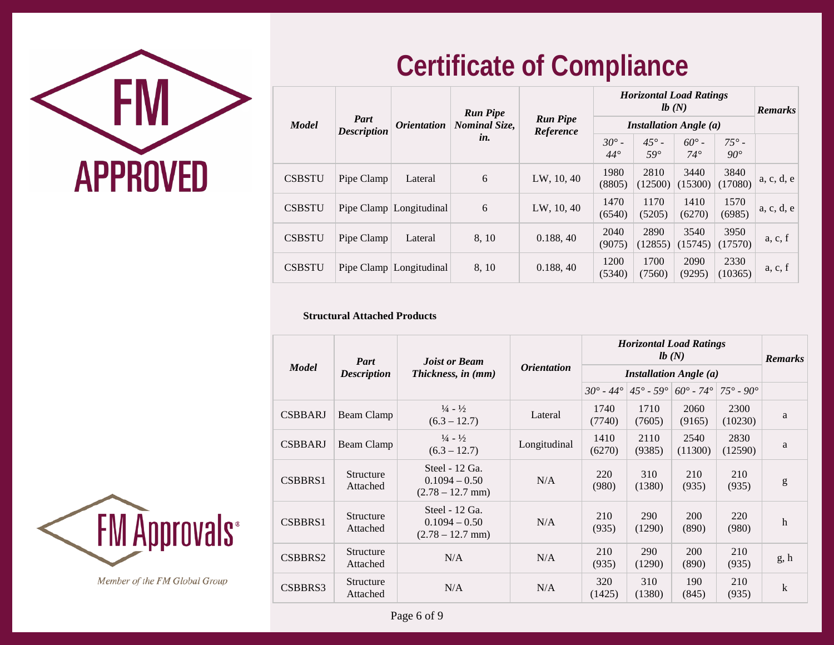

|               |                            |                           | <b>Run Pipe</b><br><b>Nominal Size,</b><br>in. | <b>Run Pipe</b><br>Reference |                            | <b>Horizontal Load Ratings</b> | <b>Remarks</b>               |                            |            |
|---------------|----------------------------|---------------------------|------------------------------------------------|------------------------------|----------------------------|--------------------------------|------------------------------|----------------------------|------------|
| <b>Model</b>  | Part<br><b>Description</b> | <i><b>Orientation</b></i> |                                                |                              |                            | <b>Installation Angle (a)</b>  |                              |                            |            |
|               |                            |                           |                                                |                              | $30^\circ$ -<br>$44^\circ$ | $45^\circ$ -<br>$59^\circ$     | $60^{\circ}$ -<br>$74^\circ$ | $75^\circ$ -<br>$90^\circ$ |            |
| <b>CSBSTU</b> | Pipe Clamp                 | Lateral                   | 6                                              | LW, 10, 40                   | 1980<br>(8805)             | 2810<br>(12500)                | 3440<br>(15300)              | 3840<br>(17080)            | a, c, d, e |
| <b>CSBSTU</b> | Pipe Clamp                 | Longitudinal              | 6                                              | LW, 10, 40                   | 1470<br>(6540)             | 1170<br>(5205)                 | 1410<br>(6270)               | 1570<br>(6985)             | a, c, d, e |
| <b>CSBSTU</b> | Pipe Clamp                 | Lateral                   | 8, 10                                          | 0.188, 40                    | 2040<br>(9075)             | 2890<br>(12855)                | 3540<br>(15745)              | 3950<br>(17570)            | a, c, f    |
| <b>CSBSTU</b> |                            | Pipe Clamp   Longitudinal | 8, 10                                          | 0.188, 40                    | 1200<br>(5340)             | 1700<br>(7560)                 | 2090<br>(9295)               | 2330<br>(10365)            | a, c, f    |

#### **Structural Attached Products**

|                | Part                         | <b>Joist or Beam</b>                                     | <i><b>Orientation</b></i> |                               | <b>Horizontal Load Ratings</b> | <b>Remarks</b>               |                           |             |
|----------------|------------------------------|----------------------------------------------------------|---------------------------|-------------------------------|--------------------------------|------------------------------|---------------------------|-------------|
| <b>Model</b>   | <b>Description</b>           | Thickness, in (mm)                                       |                           | <b>Installation Angle (a)</b> |                                |                              |                           |             |
|                |                              |                                                          |                           | $30^{\circ}$ - 44 $^{\circ}$  | $45^{\circ}$ - $59^{\circ}$    | $60^{\circ}$ - 74 $^{\circ}$ | $75^{\circ} - 90^{\circ}$ |             |
| <b>CSBBARJ</b> | Beam Clamp                   | $\frac{1}{4}$ - $\frac{1}{2}$<br>$(6.3 - 12.7)$          | Lateral                   | 1740<br>(7740)                | 1710<br>(7605)                 | 2060<br>(9165)               | 2300<br>(10230)           | a           |
| <b>CSBBARJ</b> | Beam Clamp                   | $\frac{1}{4}$ - $\frac{1}{2}$<br>$(6.3 - 12.7)$          | Longitudinal              | 1410<br>(6270)                | 2110<br>(9385)                 | 2540<br>(11300)              | 2830<br>(12590)           | a           |
| CSBBRS1        | <b>Structure</b><br>Attached | Steel $-12$ Ga.<br>$0.1094 - 0.50$<br>$(2.78 - 12.7$ mm) | N/A                       | 220<br>(980)                  | 310<br>(1380)                  | 210<br>(935)                 | 210<br>(935)              | g           |
| CSBBRS1        | Structure<br>Attached        | Steel $-12$ Ga.<br>$0.1094 - 0.50$<br>$(2.78 - 12.7$ mm) | N/A                       | 210<br>(935)                  | <b>290</b><br>(1290)           | <b>200</b><br>(890)          | 220<br>(980)              | $\mathbf h$ |
| CSBBRS2        | Structure<br>Attached        | N/A                                                      | N/A                       | 210<br>(935)                  | <b>290</b><br>(1290)           | <b>200</b><br>(890)          | 210<br>(935)              | g, h        |
| CSBBRS3        | Structure<br>Attached        | N/A                                                      | N/A                       | 320<br>(1425)                 | 310<br>(1380)                  | 190<br>(845)                 | 210<br>(935)              | $\bf k$     |

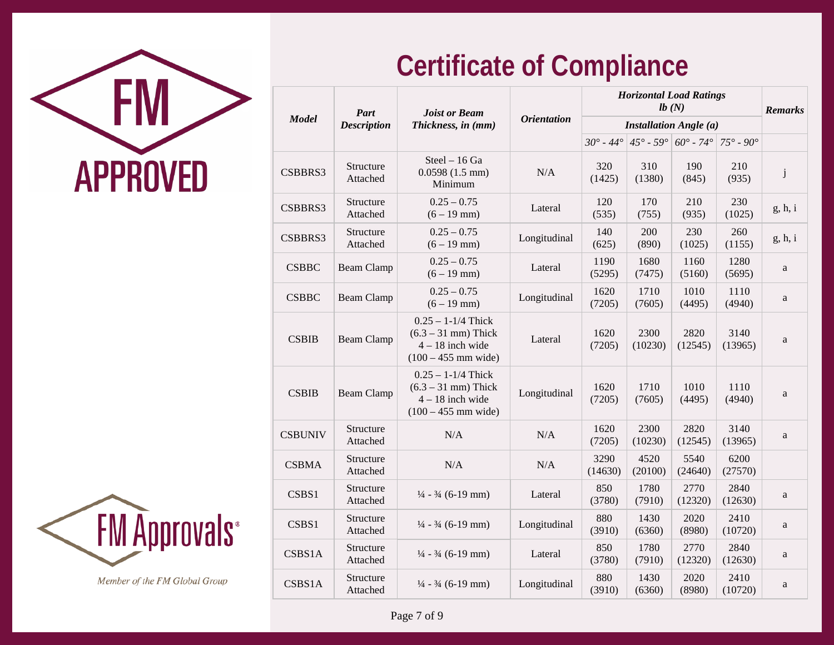



|                | Part                  | <b>Joist or Beam</b>                                                                           |                    |                           | <b>Horizontal Load Ratings</b>                     | <b>Remarks</b>  |                           |              |
|----------------|-----------------------|------------------------------------------------------------------------------------------------|--------------------|---------------------------|----------------------------------------------------|-----------------|---------------------------|--------------|
| <b>Model</b>   | <b>Description</b>    | Thickness, in (mm)                                                                             | <b>Orientation</b> |                           | <b>Installation Angle (a)</b>                      |                 |                           |              |
|                |                       |                                                                                                |                    | $30^{\circ} - 44^{\circ}$ | $145^{\circ} - 59^{\circ} 60^{\circ} - 74^{\circ}$ |                 | $75^{\circ} - 90^{\circ}$ |              |
| CSBBRS3        | Structure<br>Attached | Steel - 16 Ga<br>$0.0598(1.5$ mm)<br>Minimum                                                   | N/A                | 320<br>(1425)             | 310<br>(1380)                                      | 190<br>(845)    | 210<br>(935)              | $\mathbf{j}$ |
| CSBBRS3        | Structure<br>Attached | $0.25 - 0.75$<br>$(6 - 19$ mm)                                                                 | Lateral            | 120<br>(535)              | 170<br>(755)                                       | 210<br>(935)    | 230<br>(1025)             | g, h, i      |
| CSBBRS3        | Structure<br>Attached | $0.25 - 0.75$<br>$(6 - 19$ mm)                                                                 | Longitudinal       | 140<br>(625)              | 200<br>(890)                                       | 230<br>(1025)   | 260<br>(1155)             | g, h, i      |
| <b>CSBBC</b>   | <b>Beam Clamp</b>     | $0.25 - 0.75$<br>$(6 - 19$ mm)                                                                 | Lateral            | 1190<br>(5295)            | 1680<br>(7475)                                     | 1160<br>(5160)  | 1280<br>(5695)            | $\rm{a}$     |
| <b>CSBBC</b>   | <b>Beam Clamp</b>     | $0.25 - 0.75$<br>$(6 - 19$ mm)                                                                 | Longitudinal       | 1620<br>(7205)            | 1710<br>(7605)                                     | 1010<br>(4495)  | 1110<br>(4940)            | a            |
| <b>CSBIB</b>   | <b>Beam Clamp</b>     | $0.25 - 1 - 1/4$ Thick<br>$(6.3 - 31$ mm) Thick<br>$4 - 18$ inch wide<br>$(100 - 455$ mm wide) | Lateral            | 1620<br>(7205)            | 2300<br>(10230)                                    | 2820<br>(12545) | 3140<br>(13965)           | a            |
| <b>CSBIB</b>   | <b>Beam Clamp</b>     | $0.25 - 1 - 1/4$ Thick<br>$(6.3 - 31$ mm) Thick<br>$4 - 18$ inch wide<br>$(100 - 455$ mm wide) | Longitudinal       | 1620<br>(7205)            | 1710<br>(7605)                                     | 1010<br>(4495)  | 1110<br>(4940)            | a            |
| <b>CSBUNIV</b> | Structure<br>Attached | N/A                                                                                            | N/A                | 1620<br>(7205)            | 2300<br>(10230)                                    | 2820<br>(12545) | 3140<br>(13965)           | a            |
| <b>CSBMA</b>   | Structure<br>Attached | N/A                                                                                            | $\rm N/A$          | 3290<br>(14630)           | 4520<br>(20100)                                    | 5540<br>(24640) | 6200<br>(27570)           |              |
| CSBS1          | Structure<br>Attached | $\frac{1}{4}$ - $\frac{3}{4}$ (6-19 mm)                                                        | Lateral            | 850<br>(3780)             | 1780<br>(7910)                                     | 2770<br>(12320) | 2840<br>(12630)           | a            |
| CSBS1          | Structure<br>Attached | $\frac{1}{4}$ - $\frac{3}{4}$ (6-19 mm)                                                        | Longitudinal       | 880<br>(3910)             | 1430<br>(6360)                                     | 2020<br>(8980)  | 2410<br>(10720)           | a            |
| CSBS1A         | Structure<br>Attached | $\frac{1}{4}$ - $\frac{3}{4}$ (6-19 mm)                                                        | Lateral            | 850<br>(3780)             | 1780<br>(7910)                                     | 2770<br>(12320) | 2840<br>(12630)           | a            |
| CSBS1A         | Structure<br>Attached | $\frac{1}{4}$ - $\frac{3}{4}$ (6-19 mm)                                                        | Longitudinal       | 880<br>(3910)             | 1430<br>(6360)                                     | 2020<br>(8980)  | 2410<br>(10720)           | a            |

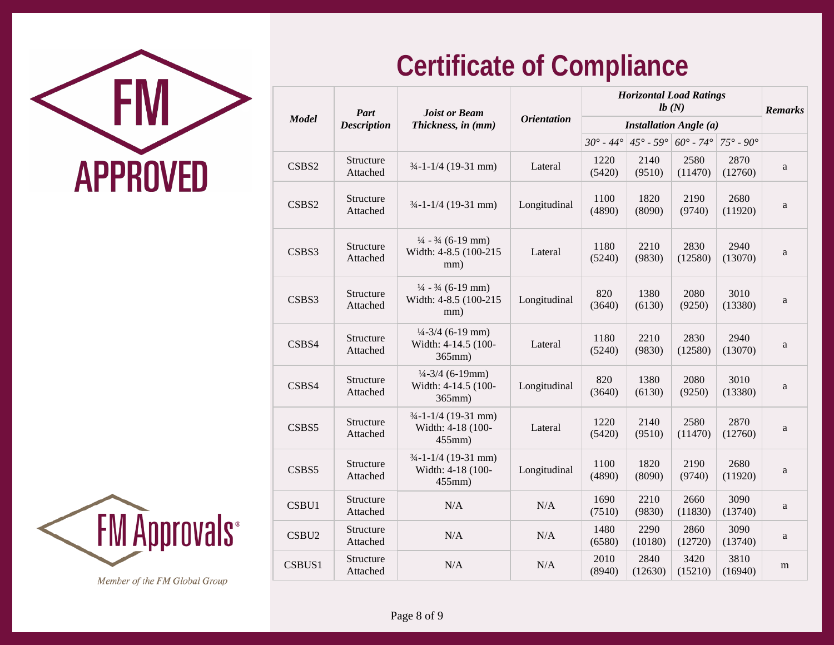

|                   | Part                  | <b>Joist or Beam</b>                                                        |                    | <b>Horizontal Load Ratings</b> | <b>Remarks</b>  |                                                          |                           |   |
|-------------------|-----------------------|-----------------------------------------------------------------------------|--------------------|--------------------------------|-----------------|----------------------------------------------------------|---------------------------|---|
| <b>Model</b>      | <b>Description</b>    | Thickness, in (mm)                                                          | <b>Orientation</b> |                                |                 | <b>Installation Angle (a)</b>                            |                           |   |
|                   |                       |                                                                             |                    |                                |                 | $30^{\circ}$ - 44° $45^{\circ}$ - 59° $60^{\circ}$ - 74° | $75^\circ \cdot 90^\circ$ |   |
| CSBS2             | Structure<br>Attached | $3/4$ -1-1/4 (19-31 mm)                                                     | Lateral            | 1220<br>(5420)                 | 2140<br>(9510)  | 2580<br>(11470)                                          | 2870<br>(12760)           | a |
| CSBS2             | Structure<br>Attached | $\frac{3}{4}$ -1-1/4 (19-31 mm)                                             | Longitudinal       | 1100<br>(4890)                 | 1820<br>(8090)  | 2190<br>(9740)                                           | 2680<br>(11920)           | a |
| CSBS3             | Structure<br>Attached | $\frac{1}{4}$ - $\frac{3}{4}$ (6-19 mm)<br>Width: 4-8.5 (100-215)<br>mm)    | Lateral            | 1180<br>(5240)                 | 2210<br>(9830)  | 2830<br>(12580)                                          | 2940<br>(13070)           | a |
| CSBS3             | Structure<br>Attached | $\frac{1}{4}$ - $\frac{3}{4}$ (6-19 mm)<br>Width: 4-8.5 (100-215)<br>mm)    | Longitudinal       | 820<br>(3640)                  | 1380<br>(6130)  | 2080<br>(9250)                                           | 3010<br>(13380)           | a |
| CSBS4             | Structure<br>Attached | $\frac{1}{4} - \frac{3}{4}$ (6-19 mm)<br>Width: 4-14.5 (100-<br>365mm)      | Lateral            | 1180<br>(5240)                 | 2210<br>(9830)  | 2830<br>(12580)                                          | 2940<br>(13070)           | a |
| CSBS4             | Structure<br>Attached | $\frac{1}{4} - \frac{3}{4}$ (6-19mm)<br>Width: 4-14.5 (100-<br>$365$ mm $)$ | Longitudinal       | 820<br>(3640)                  | 1380<br>(6130)  | 2080<br>(9250)                                           | 3010<br>(13380)           | a |
| CSBS5             | Structure<br>Attached | $\frac{3}{4}$ -1-1/4 (19-31 mm)<br>Width: 4-18 (100-<br>$455$ mm $)$        | Lateral            | 1220<br>(5420)                 | 2140<br>(9510)  | 2580<br>(11470)                                          | 2870<br>(12760)           | a |
| CSBS5             | Structure<br>Attached | $3/4$ -1-1/4 (19-31 mm)<br>Width: 4-18 (100-<br>455mm)                      | Longitudinal       | 1100<br>(4890)                 | 1820<br>(8090)  | 2190<br>(9740)                                           | 2680<br>(11920)           | a |
| CSBU1             | Structure<br>Attached | N/A                                                                         | N/A                | 1690<br>(7510)                 | 2210<br>(9830)  | 2660<br>(11830)                                          | 3090<br>(13740)           | a |
| CSBU <sub>2</sub> | Structure<br>Attached | N/A                                                                         | N/A                | 1480<br>(6580)                 | 2290<br>(10180) | 2860<br>(12720)                                          | 3090<br>(13740)           | a |
| CSBUS1            | Structure<br>Attached | N/A                                                                         | N/A                | 2010<br>(8940)                 | 2840<br>(12630) | 3420<br>(15210)                                          | 3810<br>(16940)           | m |